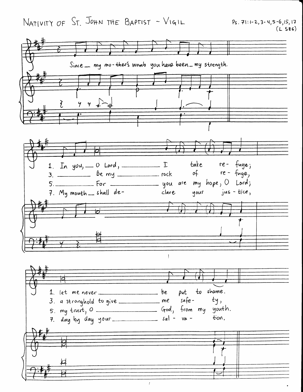NATIVITY OF ST. JOHN THE BAPTIST - VIGIL

 $Ps. 71:1-2, 3-4, 5-6, 15, 17$  $(L 586)$ 

Since \_ my mo-ther's womb you have been \_ my strength.  $4 \times 1$ re-fuge; 3. \_\_\_\_\_\_\_\_ Be my \_\_\_\_\_\_\_\_\_ rock of re-fuge, 5. For \_\_\_\_\_\_\_\_\_ rou are my hope, O Lord; your jus-tice, 7. My mouth \_ shall declare  $\mathbf{I}$ put to shame. 1. let me never \_\_\_\_\_\_\_\_\_\_\_\_\_\_\_\_ be 3. a stronghold to give \_\_\_\_\_\_\_\_\_\_\_ me safe $t_{4}$ , 5. my trust, 0 \_\_\_\_\_\_\_\_\_\_\_\_ God, from my youth. 7. day day your\_\_\_\_\_\_\_\_\_\_\_\_\_\_\_\_\_\_\_ sal - va tion.